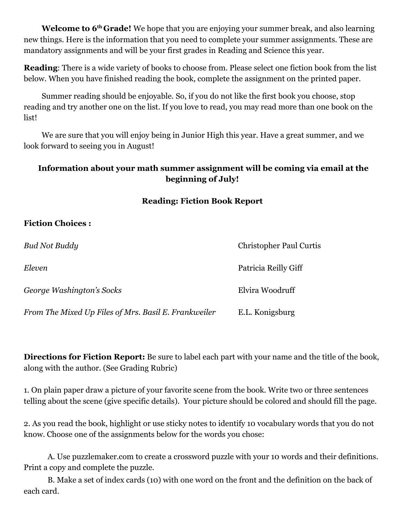**Welcome to 6th Grade!** We hope that you are enjoying your summer break, and also learning new things. Here is the information that you need to complete your summer assignments. These are mandatory assignments and will be your first grades in Reading and Science this year.

**Reading**: There is a wide variety of books to choose from. Please select one fiction book from the list below. When you have finished reading the book, complete the assignment on the printed paper.

Summer reading should be enjoyable. So, if you do not like the first book you choose, stop reading and try another one on the list. If you love to read, you may read more than one book on the list!

We are sure that you will enjoy being in Junior High this year. Have a great summer, and we look forward to seeing you in August!

## **Information about your math summer assignment will be coming via email at the beginning of July!**

#### **Reading: Fiction Book Report**

#### **Fiction Choices :**

| <b>Bud Not Buddy</b>                                 | <b>Christopher Paul Curtis</b> |
|------------------------------------------------------|--------------------------------|
| Eleven                                               | Patricia Reilly Giff           |
| George Washington's Socks                            | Elvira Woodruff                |
| From The Mixed Up Files of Mrs. Basil E. Frankweiler | E.L. Konigsburg                |

**Directions for Fiction Report:** Be sure to label each part with your name and the title of the book, along with the author. (See Grading Rubric)

1. On plain paper draw a picture of your favorite scene from the book. Write two or three sentences telling about the scene (give specific details). Your picture should be colored and should fill the page.

2. As you read the book, highlight or use sticky notes to identify 10 vocabulary words that you do not know. Choose one of the assignments below for the words you chose:

A. Use puzzlemaker.com to create a crossword puzzle with your 10 words and their definitions. Print a copy and complete the puzzle.

B. Make a set of index cards (10) with one word on the front and the definition on the back of each card.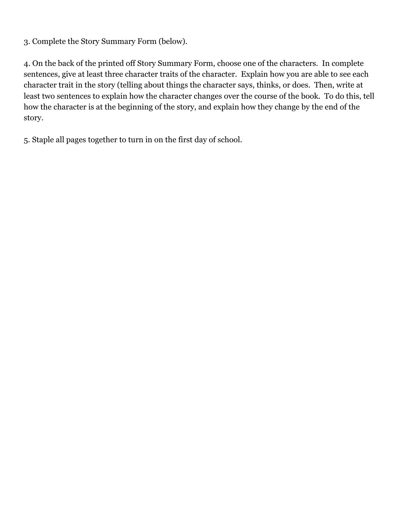3. Complete the Story Summary Form (below).

4. On the back of the printed off Story Summary Form, choose one of the characters. In complete sentences, give at least three character traits of the character. Explain how you are able to see each character trait in the story (telling about things the character says, thinks, or does. Then, write at least two sentences to explain how the character changes over the course of the book. To do this, tell how the character is at the beginning of the story, and explain how they change by the end of the story.

5. Staple all pages together to turn in on the first day of school.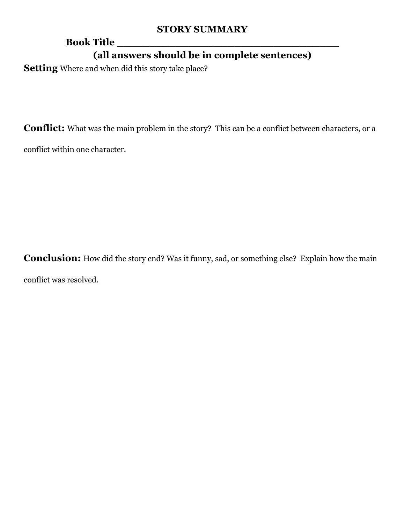## **STORY SUMMARY**

# **Book Title \_\_\_\_\_\_\_\_\_\_\_\_\_\_\_\_\_\_\_\_\_\_\_\_\_\_\_\_\_\_\_\_\_\_ (all answers should be in complete sentences)**

**Setting** Where and when did this story take place?

**Conflict:** What was the main problem in the story? This can be a conflict between characters, or a

conflict within one character.

**Conclusion:** How did the story end? Was it funny, sad, or something else? Explain how the main conflict was resolved.